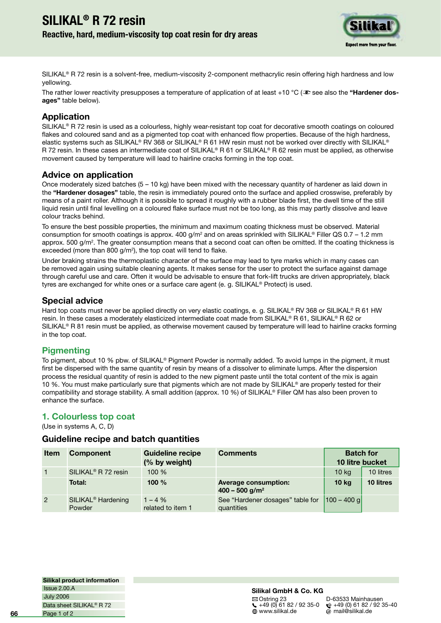# **SILIKAL® R 72 resin Reactive, hard, medium-viscosity top coat resin for dry areas**



SILIKAL® R 72 resin is a solvent-free, medium-viscosity 2-component methacrylic resin offering high hardness and low yellowing.

The rather lower reactivity presupposes a temperature of application of at least +10 °C ( $\infty$  see also the "**Hardener dosages"** table below).

## **Application**

SILIKAL<sup>®</sup> R 72 resin is used as a colourless, highly wear-resistant top coat for decorative smooth coatings on coloured flakes and coloured sand and as a pigmented top coat with enhanced flow properties. Because of the high hardness, elastic systems such as SILIKAL® RV 368 or SILIKAL® R 61 HW resin must not be worked over directly with SILIKAL® R 72 resin. In these cases an intermediate coat of SILIKAL® R 61 or SILIKAL® R 62 resin must be applied, as otherwise movement caused by temperature will lead to hairline cracks forming in the top coat.

### **Advice on application**

Once moderately sized batches (5 – 10 kg) have been mixed with the necessary quantity of hardener as laid down in the **"Hardener dosages"** table, the resin is immediately poured onto the surface and applied crosswise, preferably by means of a paint roller. Although it is possible to spread it roughly with a rubber blade first, the dwell time of the still liquid resin until final levelling on a coloured flake surface must not be too long, as this may partly dissolve and leave colour tracks behind.

To ensure the best possible properties, the minimum and maximum coating thickness must be observed. Material consumption for smooth coatings is approx. 400 g/m<sup>2</sup> and on areas sprinkled with SILIKAL® Filler QS 0.7 – 1.2 mm approx. 500 g/m<sup>2</sup>. The greater consumption means that a second coat can often be omitted. If the coating thickness is exceeded (more than 800  $g/m^2$ ), the top coat will tend to flake.

Under braking strains the thermoplastic character of the surface may lead to tyre marks which in many cases can be removed again using suitable cleaning agents. It makes sense for the user to protect the surface against damage through careful use and care. Often it would be advisable to ensure that fork-lift trucks are driven appropriately, black tyres are exchanged for white ones or a surface care agent (e. g. SILIKAL® Protect) is used.

### **Special advice**

Hard top coats must never be applied directly on very elastic coatings, e. g. SILIKAL® RV 368 or SILIKAL® R 61 HW resin. In these cases a moderately elasticized intermediate coat made from SILIKAL® R 61, SILIKAL® R 62 or SILIKAL® R 81 resin must be applied, as otherwise movement caused by temperature will lead to hairline cracks forming in the top coat.

### **Pigmenting**

To pigment, about 10 % pbw. of SILIKAL® Pigment Powder is normally added. To avoid lumps in the pigment, it must first be dispersed with the same quantity of resin by means of a dissolver to eliminate lumps. After the dispersion process the residual quantity of resin is added to the new pigment paste until the total content of the mix is again 10 %. You must make particularly sure that pigments which are not made by SILIKAL® are properly tested for their compatibility and storage stability. A small addition (approx. 10 %) of SILIKAL® Filler QM has also been proven to enhance the surface.

### **1. Colourless top coat**

(Use in systems A, C, D)

### **Guideline recipe and batch quantities**

| <b>Item</b>    | Component                                | <b>Guideline recipe</b><br>(% by weight) | <b>Comments</b>                                             | <b>Batch for</b><br>10 litre bucket |           |
|----------------|------------------------------------------|------------------------------------------|-------------------------------------------------------------|-------------------------------------|-----------|
|                | SILIKAL <sup>®</sup> R 72 resin          | 100 %                                    |                                                             | 10 <sub>kg</sub>                    | 10 litres |
|                | Total:                                   | 100 $%$                                  | <b>Average consumption:</b><br>$400 - 500$ g/m <sup>2</sup> | 10 <sub>kg</sub>                    | 10 litres |
| $\overline{2}$ | SILIKAL <sup>®</sup> Hardening<br>Powder | $1 - 4\%$<br>related to item 1           | See "Hardener dosages" table for<br>quantities              | $ 100 - 400$ g                      |           |

**Silikal product information** July 2006 Issue 2.00.A Page 1 of 2 Data sheet SILIKAL® R 72

#### **Silikal GmbH & Co. KG**

 $\boxtimes$  Ostring 23 D-63533 Mainhausen<br>
(49 (0) 61 82 / 92 35-0  $\circ$  +49 (0) 61 82 / 92 +49 (0) 61 82 / 92 35-0 +49 (0) 61 82 / 92 35-40

 $\omega$  mail@silikal.de